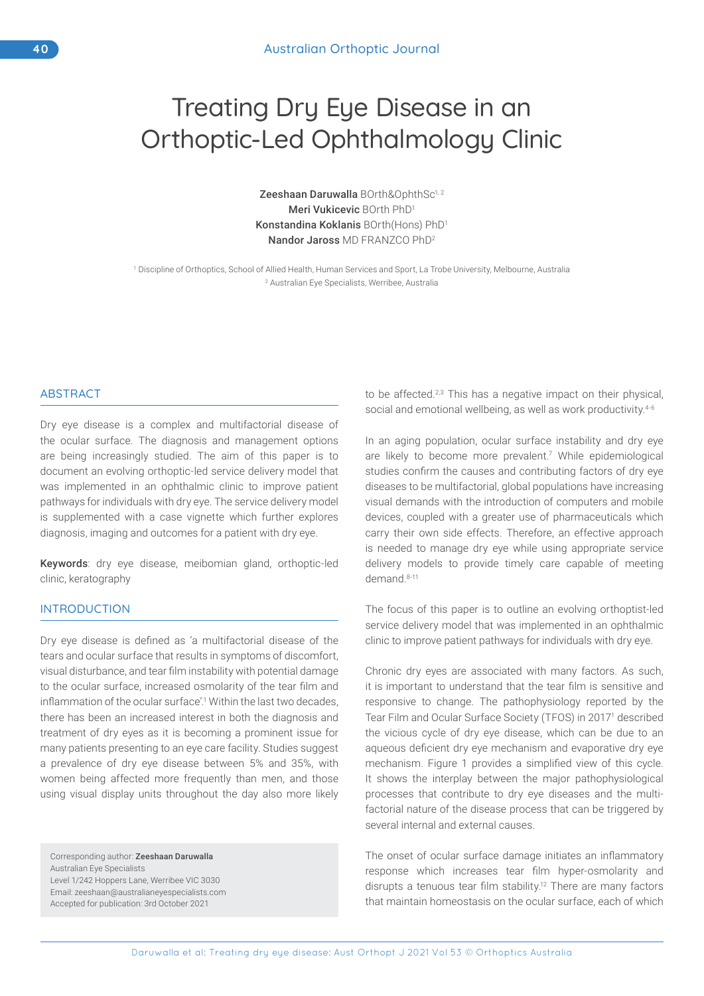# Treating Dry Eye Disease in an Orthoptic-Led Ophthalmology Clinic

Zeeshaan Daruwalla BOrth&OphthSc<sup>1,2</sup> Meri Vukicevic BOrth PhD1 Konstandina Koklanis BOrth(Hons) PhD1 Nandor Jaross MD FRANZCO PhD<sup>2</sup>

1 Discipline of Orthoptics, School of Allied Health, Human Services and Sport, La Trobe University, Melbourne, Australia 2 Australian Eye Specialists, Werribee, Australia

#### ABSTRACT

Dry eye disease is a complex and multifactorial disease of the ocular surface. The diagnosis and management options are being increasingly studied. The aim of this paper is to document an evolving orthoptic-led service delivery model that was implemented in an ophthalmic clinic to improve patient pathways for individuals with dry eye. The service delivery model is supplemented with a case vignette which further explores diagnosis, imaging and outcomes for a patient with dry eye.

Keywords: dry eye disease, meibomian gland, orthoptic-led clinic, keratography

#### INTRODUCTION

Dry eye disease is defined as 'a multifactorial disease of the tears and ocular surface that results in symptoms of discomfort, visual disturbance, and tear film instability with potential damage to the ocular surface, increased osmolarity of the tear film and inflammation of the ocular surface'.<sup>1</sup> Within the last two decades, there has been an increased interest in both the diagnosis and treatment of dry eyes as it is becoming a prominent issue for many patients presenting to an eye care facility. Studies suggest a prevalence of dry eye disease between 5% and 35%, with women being affected more frequently than men, and those using visual display units throughout the day also more likely

Corresponding author: Zeeshaan Daruwalla Australian Eye Specialists Level 1/242 Hoppers Lane, Werribee VIC 3030 Email: zeeshaan@australianeyespecialists.com Accepted for publication: 3rd October 2021

to be affected.<sup>2,3</sup> This has a negative impact on their physical, social and emotional wellbeing, as well as work productivity.<sup>4-6</sup>

In an aging population, ocular surface instability and dry eye are likely to become more prevalent.<sup>7</sup> While epidemiological studies confirm the causes and contributing factors of dry eye diseases to be multifactorial, global populations have increasing visual demands with the introduction of computers and mobile devices, coupled with a greater use of pharmaceuticals which carry their own side effects. Therefore, an effective approach is needed to manage dry eye while using appropriate service delivery models to provide timely care capable of meeting demand.8-11

The focus of this paper is to outline an evolving orthoptist-led service delivery model that was implemented in an ophthalmic clinic to improve patient pathways for individuals with dry eye.

Chronic dry eyes are associated with many factors. As such, it is important to understand that the tear film is sensitive and responsive to change. The pathophysiology reported by the Tear Film and Ocular Surface Society (TFOS) in 20171 described the vicious cycle of dry eye disease, which can be due to an aqueous deficient dry eye mechanism and evaporative dry eye mechanism. Figure 1 provides a simplified view of this cycle. It shows the interplay between the major pathophysiological processes that contribute to dry eye diseases and the multifactorial nature of the disease process that can be triggered by several internal and external causes.

The onset of ocular surface damage initiates an inflammatory response which increases tear film hyper-osmolarity and disrupts a tenuous tear film stability.12 There are many factors that maintain homeostasis on the ocular surface, each of which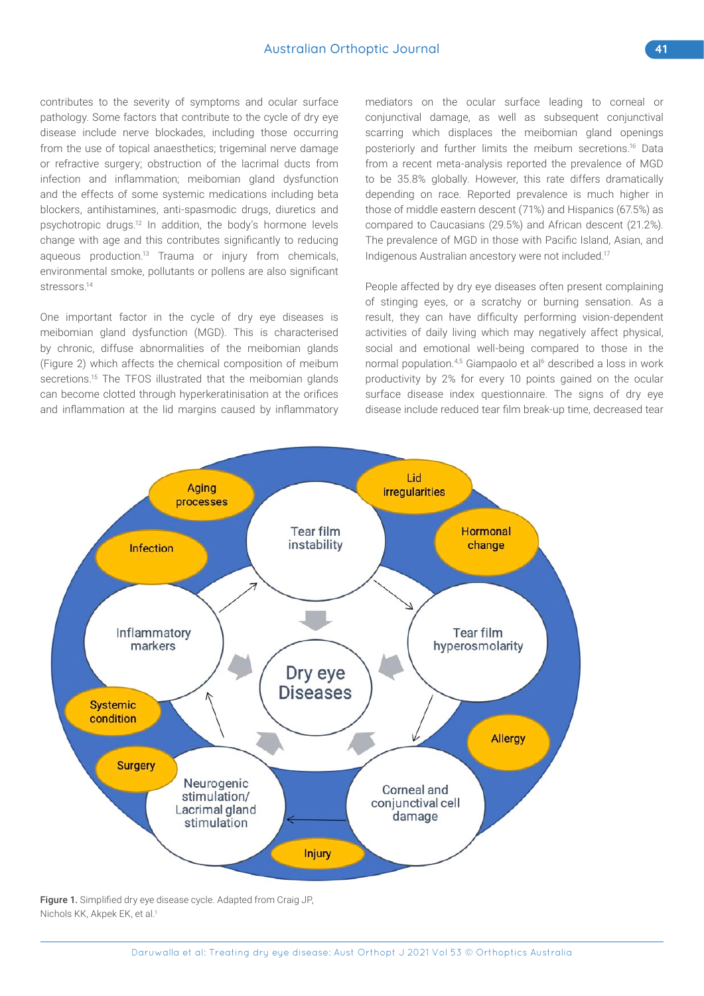contributes to the severity of symptoms and ocular surface pathology. Some factors that contribute to the cycle of dry eye disease include nerve blockades, including those occurring from the use of topical anaesthetics; trigeminal nerve damage or refractive surgery; obstruction of the lacrimal ducts from infection and inflammation; meibomian gland dysfunction and the effects of some systemic medications including beta blockers, antihistamines, anti-spasmodic drugs, diuretics and psychotropic drugs.12 In addition, the body's hormone levels change with age and this contributes significantly to reducing aqueous production.<sup>13</sup> Trauma or injury from chemicals, environmental smoke, pollutants or pollens are also significant stressors.<sup>14</sup>

One important factor in the cycle of dry eye diseases is meibomian gland dysfunction (MGD). This is characterised by chronic, diffuse abnormalities of the meibomian glands (Figure 2) which affects the chemical composition of meibum secretions.<sup>15</sup> The TFOS illustrated that the meibomian glands can become clotted through hyperkeratinisation at the orifices and inflammation at the lid margins caused by inflammatory mediators on the ocular surface leading to corneal or conjunctival damage, as well as subsequent conjunctival scarring which displaces the meibomian gland openings posteriorly and further limits the meibum secretions.16 Data from a recent meta-analysis reported the prevalence of MGD to be 35.8% globally. However, this rate differs dramatically depending on race. Reported prevalence is much higher in those of middle eastern descent (71%) and Hispanics (67.5%) as compared to Caucasians (29.5%) and African descent (21.2%). The prevalence of MGD in those with Pacific Island, Asian, and Indigenous Australian ancestory were not included.17

People affected by dry eye diseases often present complaining of stinging eyes, or a scratchy or burning sensation. As a result, they can have difficulty performing vision-dependent activities of daily living which may negatively affect physical, social and emotional well-being compared to those in the normal population.<sup>4,5</sup> Giampaolo et al<sup>6</sup> described a loss in work productivity by 2% for every 10 points gained on the ocular surface disease index questionnaire. The signs of dry eye disease include reduced tear film break-up time, decreased tear



Figure 1. Simplified dry eye disease cycle. Adapted from Craig JP, Nichols KK, Akpek EK, et al.1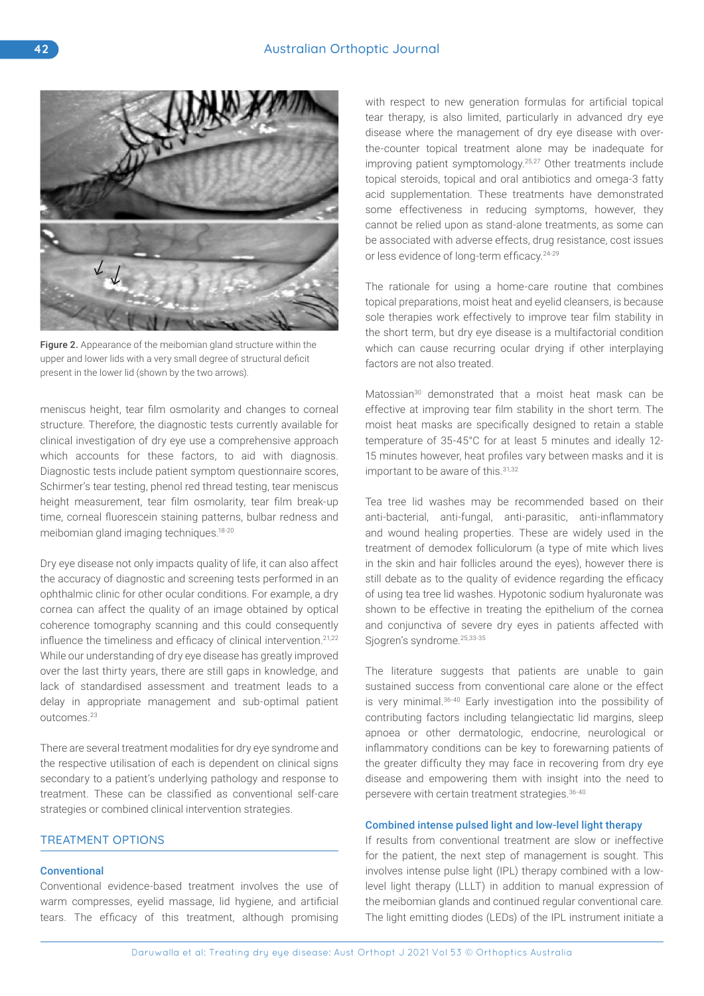

Figure 2. Appearance of the meibomian gland structure within the upper and lower lids with a very small degree of structural deficit present in the lower lid (shown by the two arrows).

meniscus height, tear film osmolarity and changes to corneal structure. Therefore, the diagnostic tests currently available for clinical investigation of dry eye use a comprehensive approach which accounts for these factors, to aid with diagnosis. Diagnostic tests include patient symptom questionnaire scores, Schirmer's tear testing, phenol red thread testing, tear meniscus height measurement, tear film osmolarity, tear film break-up time, corneal fluorescein staining patterns, bulbar redness and meibomian gland imaging techniques.18-20

Dry eye disease not only impacts quality of life, it can also affect the accuracy of diagnostic and screening tests performed in an ophthalmic clinic for other ocular conditions. For example, a dry cornea can affect the quality of an image obtained by optical coherence tomography scanning and this could consequently influence the timeliness and efficacy of clinical intervention.<sup>21,22</sup> While our understanding of dry eye disease has greatly improved over the last thirty years, there are still gaps in knowledge, and lack of standardised assessment and treatment leads to a delay in appropriate management and sub-optimal patient outcomes.23

There are several treatment modalities for dry eye syndrome and the respective utilisation of each is dependent on clinical signs secondary to a patient's underlying pathology and response to treatment. These can be classified as conventional self-care strategies or combined clinical intervention strategies.

# TREATMENT OPTIONS

## **Conventional**

Conventional evidence-based treatment involves the use of warm compresses, eyelid massage, lid hygiene, and artificial tears. The efficacy of this treatment, although promising with respect to new generation formulas for artificial topical tear therapy, is also limited, particularly in advanced dry eye disease where the management of dry eye disease with overthe-counter topical treatment alone may be inadequate for improving patient symptomology.25,27 Other treatments include topical steroids, topical and oral antibiotics and omega-3 fatty acid supplementation. These treatments have demonstrated some effectiveness in reducing symptoms, however, they cannot be relied upon as stand-alone treatments, as some can be associated with adverse effects, drug resistance, cost issues or less evidence of long-term efficacy.24-29

The rationale for using a home-care routine that combines topical preparations, moist heat and eyelid cleansers, is because sole therapies work effectively to improve tear film stability in the short term, but dry eye disease is a multifactorial condition which can cause recurring ocular drying if other interplaying factors are not also treated.

Matossian<sup>30</sup> demonstrated that a moist heat mask can be effective at improving tear film stability in the short term. The moist heat masks are specifically designed to retain a stable temperature of 35-45°C for at least 5 minutes and ideally 12- 15 minutes however, heat profiles vary between masks and it is important to be aware of this. 31,32

Tea tree lid washes may be recommended based on their anti-bacterial, anti-fungal, anti-parasitic, anti-inflammatory and wound healing properties. These are widely used in the treatment of demodex folliculorum (a type of mite which lives in the skin and hair follicles around the eyes), however there is still debate as to the quality of evidence regarding the efficacy of using tea tree lid washes. Hypotonic sodium hyaluronate was shown to be effective in treating the epithelium of the cornea and conjunctiva of severe dry eyes in patients affected with Sjogren's syndrome.<sup>25,33-35</sup>

The literature suggests that patients are unable to gain sustained success from conventional care alone or the effect is very minimal.36-40 Early investigation into the possibility of contributing factors including telangiectatic lid margins, sleep apnoea or other dermatologic, endocrine, neurological or inflammatory conditions can be key to forewarning patients of the greater difficulty they may face in recovering from dry eye disease and empowering them with insight into the need to persevere with certain treatment strategies.36-40

## Combined intense pulsed light and low-level light therapy

If results from conventional treatment are slow or ineffective for the patient, the next step of management is sought. This involves intense pulse light (IPL) therapy combined with a lowlevel light therapy (LLLT) in addition to manual expression of the meibomian glands and continued regular conventional care. The light emitting diodes (LEDs) of the IPL instrument initiate a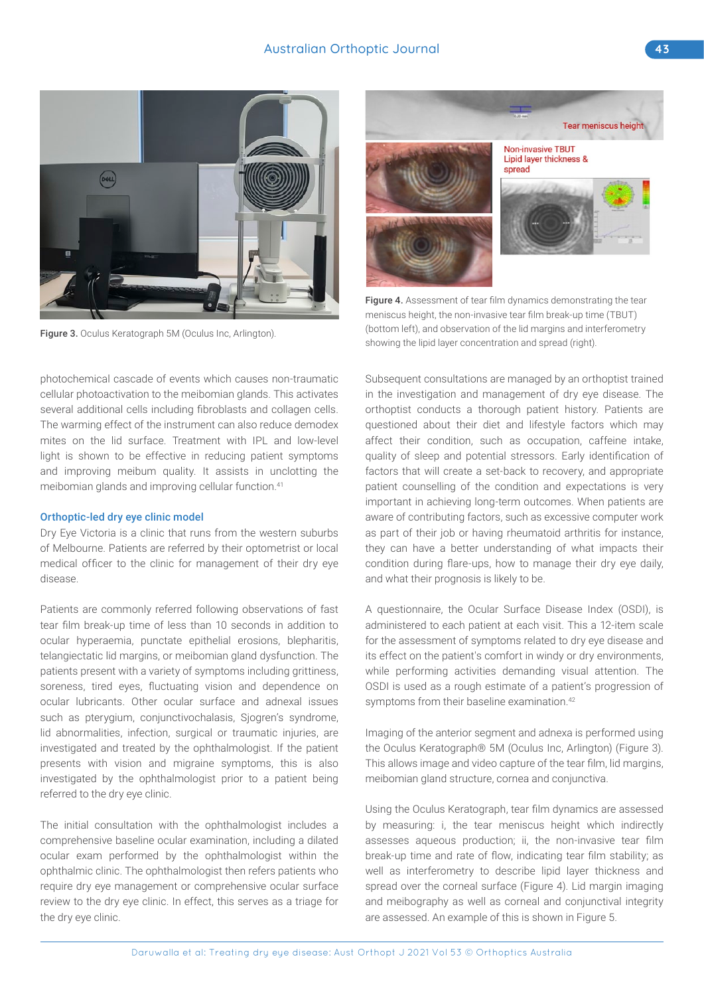

Figure 3. Oculus Keratograph 5M (Oculus Inc, Arlington).

photochemical cascade of events which causes non-traumatic cellular photoactivation to the meibomian glands. This activates several additional cells including fibroblasts and collagen cells. The warming effect of the instrument can also reduce demodex mites on the lid surface. Treatment with IPL and low-level light is shown to be effective in reducing patient symptoms and improving meibum quality. It assists in unclotting the meibomian glands and improving cellular function.<sup>41</sup>

#### Orthoptic-led dry eye clinic model

Dry Eye Victoria is a clinic that runs from the western suburbs of Melbourne. Patients are referred by their optometrist or local medical officer to the clinic for management of their dry eye disease.

Patients are commonly referred following observations of fast tear film break-up time of less than 10 seconds in addition to ocular hyperaemia, punctate epithelial erosions, blepharitis, telangiectatic lid margins, or meibomian gland dysfunction. The patients present with a variety of symptoms including grittiness, soreness, tired eyes, fluctuating vision and dependence on ocular lubricants. Other ocular surface and adnexal issues such as pterygium, conjunctivochalasis, Sjogren's syndrome, lid abnormalities, infection, surgical or traumatic injuries, are investigated and treated by the ophthalmologist. If the patient presents with vision and migraine symptoms, this is also investigated by the ophthalmologist prior to a patient being referred to the dry eye clinic.

The initial consultation with the ophthalmologist includes a comprehensive baseline ocular examination, including a dilated ocular exam performed by the ophthalmologist within the ophthalmic clinic. The ophthalmologist then refers patients who require dry eye management or comprehensive ocular surface review to the dry eye clinic. In effect, this serves as a triage for the dry eye clinic.



Figure 4. Assessment of tear film dynamics demonstrating the tear meniscus height, the non-invasive tear film break-up time (TBUT) (bottom left), and observation of the lid margins and interferometry showing the lipid layer concentration and spread (right).

Subsequent consultations are managed by an orthoptist trained in the investigation and management of dry eye disease. The orthoptist conducts a thorough patient history. Patients are questioned about their diet and lifestyle factors which may affect their condition, such as occupation, caffeine intake, quality of sleep and potential stressors. Early identification of factors that will create a set-back to recovery, and appropriate patient counselling of the condition and expectations is very important in achieving long-term outcomes. When patients are aware of contributing factors, such as excessive computer work as part of their job or having rheumatoid arthritis for instance, they can have a better understanding of what impacts their condition during flare-ups, how to manage their dry eye daily, and what their prognosis is likely to be.

A questionnaire, the Ocular Surface Disease Index (OSDI), is administered to each patient at each visit. This a 12-item scale for the assessment of symptoms related to dry eye disease and its effect on the patient's comfort in windy or dry environments, while performing activities demanding visual attention. The OSDI is used as a rough estimate of a patient's progression of symptoms from their baseline examination.<sup>42</sup>

Imaging of the anterior segment and adnexa is performed using the Oculus Keratograph® 5M (Oculus Inc, Arlington) (Figure 3). This allows image and video capture of the tear film, lid margins, meibomian gland structure, cornea and conjunctiva.

Using the Oculus Keratograph, tear film dynamics are assessed by measuring: i, the tear meniscus height which indirectly assesses aqueous production; ii, the non-invasive tear film break-up time and rate of flow, indicating tear film stability; as well as interferometry to describe lipid layer thickness and spread over the corneal surface (Figure 4). Lid margin imaging and meibography as well as corneal and conjunctival integrity are assessed. An example of this is shown in Figure 5.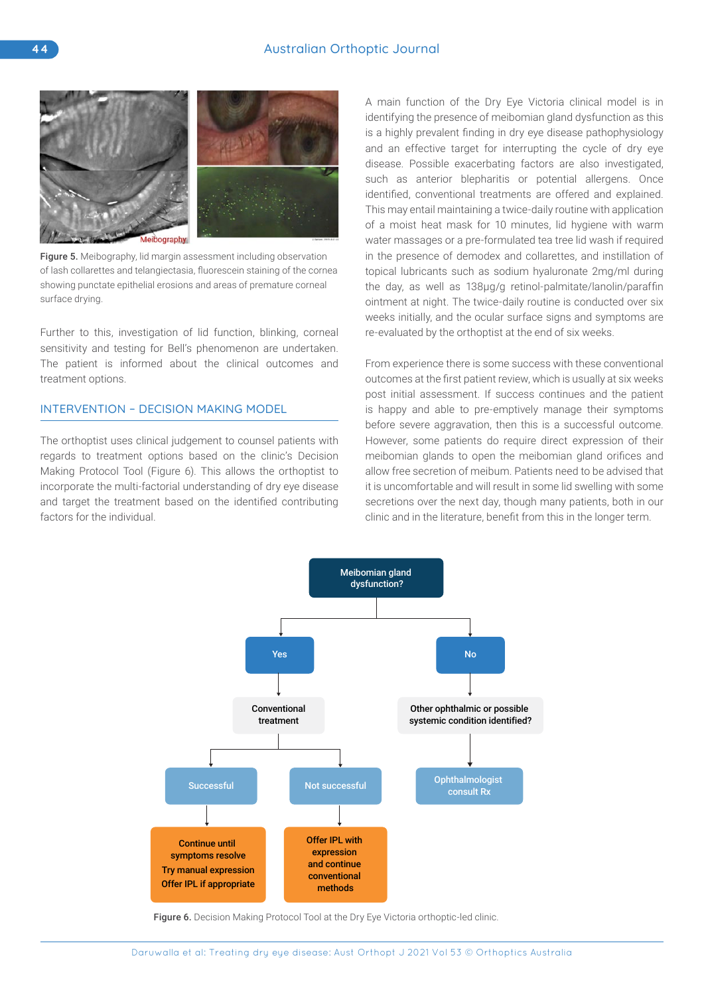

Figure 5. Meibography, lid margin assessment including observation of lash collarettes and telangiectasia, fluorescein staining of the cornea showing punctate epithelial erosions and areas of premature corneal surface drying.

Further to this, investigation of lid function, blinking, corneal sensitivity and testing for Bell's phenomenon are undertaken. The patient is informed about the clinical outcomes and treatment options.

# INTERVENTION – DECISION MAKING MODEL

The orthoptist uses clinical judgement to counsel patients with regards to treatment options based on the clinic's Decision Making Protocol Tool (Figure 6). This allows the orthoptist to incorporate the multi-factorial understanding of dry eye disease and target the treatment based on the identified contributing factors for the individual.

A main function of the Dry Eye Victoria clinical model is in identifying the presence of meibomian gland dysfunction as this is a highly prevalent finding in dry eye disease pathophysiology and an effective target for interrupting the cycle of dry eye disease. Possible exacerbating factors are also investigated, such as anterior blepharitis or potential allergens. Once identified, conventional treatments are offered and explained. This may entail maintaining a twice-daily routine with application of a moist heat mask for 10 minutes, lid hygiene with warm water massages or a pre-formulated tea tree lid wash if required in the presence of demodex and collarettes, and instillation of topical lubricants such as sodium hyaluronate 2mg/ml during the day, as well as 138µg/g retinol-palmitate/lanolin/paraffin ointment at night. The twice-daily routine is conducted over six weeks initially, and the ocular surface signs and symptoms are re-evaluated by the orthoptist at the end of six weeks.

From experience there is some success with these conventional outcomes at the first patient review, which is usually at six weeks post initial assessment. If success continues and the patient is happy and able to pre-emptively manage their symptoms before severe aggravation, then this is a successful outcome. However, some patients do require direct expression of their meibomian glands to open the meibomian gland orifices and allow free secretion of meibum. Patients need to be advised that it is uncomfortable and will result in some lid swelling with some secretions over the next day, though many patients, both in our clinic and in the literature, benefit from this in the longer term.



Figure 6. Decision Making Protocol Tool at the Dry Eye Victoria orthoptic-led clinic.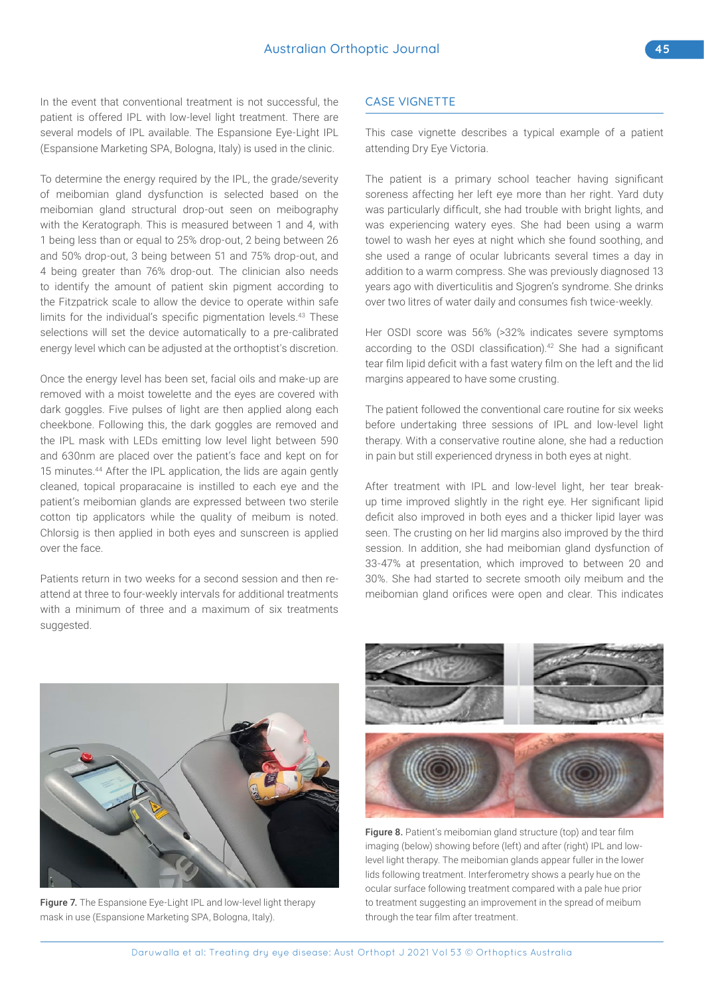In the event that conventional treatment is not successful, the patient is offered IPL with low-level light treatment. There are several models of IPL available. The Espansione Eye-Light IPL (Espansione Marketing SPA, Bologna, Italy) is used in the clinic.

To determine the energy required by the IPL, the grade/severity of meibomian gland dysfunction is selected based on the meibomian gland structural drop-out seen on meibography with the Keratograph. This is measured between 1 and 4, with 1 being less than or equal to 25% drop-out, 2 being between 26 and 50% drop-out, 3 being between 51 and 75% drop-out, and 4 being greater than 76% drop-out. The clinician also needs to identify the amount of patient skin pigment according to the Fitzpatrick scale to allow the device to operate within safe limits for the individual's specific pigmentation levels.<sup>43</sup> These selections will set the device automatically to a pre-calibrated energy level which can be adjusted at the orthoptist's discretion.

Once the energy level has been set, facial oils and make-up are removed with a moist towelette and the eyes are covered with dark goggles. Five pulses of light are then applied along each cheekbone. Following this, the dark goggles are removed and the IPL mask with LEDs emitting low level light between 590 and 630nm are placed over the patient's face and kept on for 15 minutes.<sup>44</sup> After the IPL application, the lids are again gently cleaned, topical proparacaine is instilled to each eye and the patient's meibomian glands are expressed between two sterile cotton tip applicators while the quality of meibum is noted. Chlorsig is then applied in both eyes and sunscreen is applied over the face.

Patients return in two weeks for a second session and then reattend at three to four-weekly intervals for additional treatments with a minimum of three and a maximum of six treatments suggested.

# CASE VIGNETTE

This case vignette describes a typical example of a patient attending Dry Eye Victoria.

The patient is a primary school teacher having significant soreness affecting her left eye more than her right. Yard duty was particularly difficult, she had trouble with bright lights, and was experiencing watery eyes. She had been using a warm towel to wash her eyes at night which she found soothing, and she used a range of ocular lubricants several times a day in addition to a warm compress. She was previously diagnosed 13 years ago with diverticulitis and Sjogren's syndrome. She drinks over two litres of water daily and consumes fish twice-weekly.

Her OSDI score was 56% (>32% indicates severe symptoms according to the OSDI classification).<sup>42</sup> She had a significant tear film lipid deficit with a fast watery film on the left and the lid margins appeared to have some crusting.

The patient followed the conventional care routine for six weeks before undertaking three sessions of IPL and low-level light therapy. With a conservative routine alone, she had a reduction in pain but still experienced dryness in both eyes at night.

After treatment with IPL and low-level light, her tear breakup time improved slightly in the right eye. Her significant lipid deficit also improved in both eyes and a thicker lipid layer was seen. The crusting on her lid margins also improved by the third session. In addition, she had meibomian gland dysfunction of 33-47% at presentation, which improved to between 20 and 30%. She had started to secrete smooth oily meibum and the meibomian gland orifices were open and clear. This indicates



Figure 7. The Espansione Eye-Light IPL and low-level light therapy mask in use (Espansione Marketing SPA, Bologna, Italy).



Figure 8. Patient's meibomian gland structure (top) and tear film imaging (below) showing before (left) and after (right) IPL and lowlevel light therapy. The meibomian glands appear fuller in the lower lids following treatment. Interferometry shows a pearly hue on the ocular surface following treatment compared with a pale hue prior to treatment suggesting an improvement in the spread of meibum through the tear film after treatment.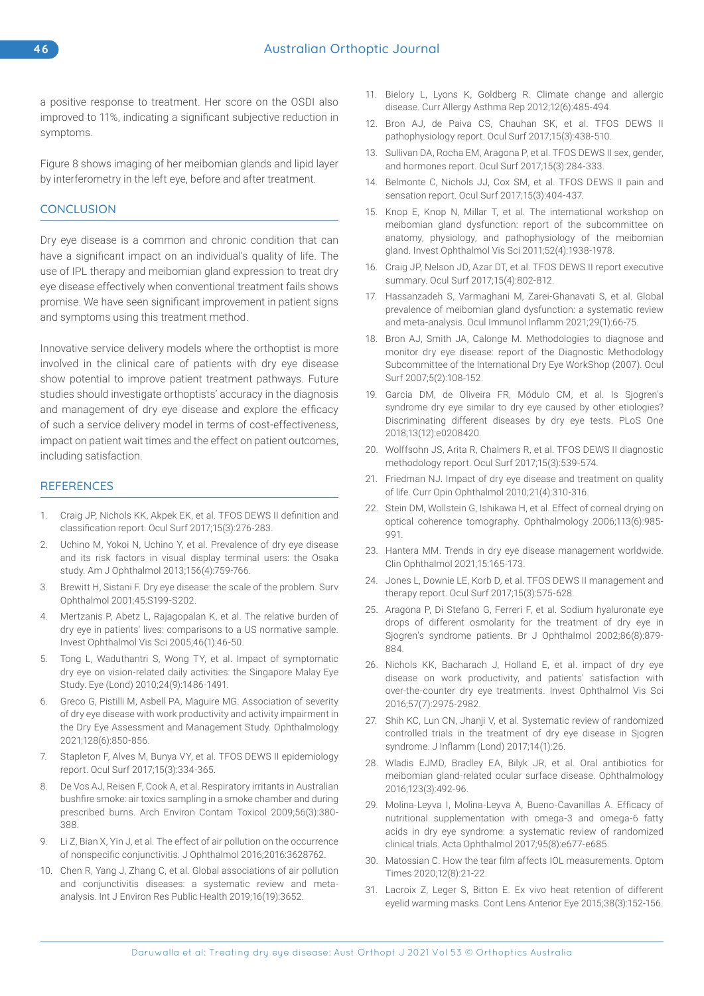a positive response to treatment. Her score on the OSDI also improved to 11%, indicating a significant subjective reduction in symptoms.

Figure 8 shows imaging of her meibomian glands and lipid layer by interferometry in the left eye, before and after treatment.

# **CONCLUSION**

Dry eye disease is a common and chronic condition that can have a significant impact on an individual's quality of life. The use of IPL therapy and meibomian gland expression to treat dry eye disease effectively when conventional treatment fails shows promise. We have seen significant improvement in patient signs and symptoms using this treatment method.

Innovative service delivery models where the orthoptist is more involved in the clinical care of patients with dry eye disease show potential to improve patient treatment pathways. Future studies should investigate orthoptists' accuracy in the diagnosis and management of dry eye disease and explore the efficacy of such a service delivery model in terms of cost-effectiveness, impact on patient wait times and the effect on patient outcomes, including satisfaction.

### **REFERENCES**

- 1. Craig JP, Nichols KK, Akpek EK, et al. TFOS DEWS II definition and classification report. Ocul Surf 2017;15(3):276-283.
- 2. Uchino M, Yokoi N, Uchino Y, et al. Prevalence of dry eye disease and its risk factors in visual display terminal users: the Osaka study. Am J Ophthalmol 2013;156(4):759-766.
- 3. Brewitt H, Sistani F. Dry eye disease: the scale of the problem. Surv Ophthalmol 2001;45:S199-S202.
- Mertzanis P, Abetz L, Rajagopalan K, et al. The relative burden of dry eye in patients' lives: comparisons to a US normative sample. Invest Ophthalmol Vis Sci 2005;46(1):46-50.
- 5. Tong L, Waduthantri S, Wong TY, et al. Impact of symptomatic dry eye on vision-related daily activities: the Singapore Malay Eye Study. Eye (Lond) 2010;24(9):1486-1491.
- 6. Greco G, Pistilli M, Asbell PA, Maguire MG. Association of severity of dry eye disease with work productivity and activity impairment in the Dry Eye Assessment and Management Study. Ophthalmology 2021;128(6):850-856.
- 7. Stapleton F, Alves M, Bunya VY, et al. TFOS DEWS II epidemiology report. Ocul Surf 2017;15(3):334-365.
- 8. De Vos AJ, Reisen F, Cook A, et al. Respiratory irritants in Australian bushfire smoke: air toxics sampling in a smoke chamber and during prescribed burns. Arch Environ Contam Toxicol 2009;56(3):380- 388.
- 9. Li Z, Bian X, Yin J, et al. The effect of air pollution on the occurrence of nonspecific conjunctivitis. J Ophthalmol 2016;2016:3628762.
- 10. Chen R, Yang J, Zhang C, et al. Global associations of air pollution and conjunctivitis diseases: a systematic review and metaanalysis. Int J Environ Res Public Health 2019;16(19):3652.
- 11. Bielory L, Lyons K, Goldberg R. Climate change and allergic disease. Curr Allergy Asthma Rep 2012;12(6):485-494.
- 12. Bron AJ, de Paiva CS, Chauhan SK, et al. TFOS DEWS II pathophysiology report. Ocul Surf 2017;15(3):438-510.
- 13. Sullivan DA, Rocha EM, Aragona P, et al. TFOS DEWS II sex, gender, and hormones report. Ocul Surf 2017;15(3):284-333.
- 14. Belmonte C, Nichols JJ, Cox SM, et al. TFOS DEWS II pain and sensation report. Ocul Surf 2017;15(3):404-437.
- 15. Knop E, Knop N, Millar T, et al. The international workshop on meibomian gland dysfunction: report of the subcommittee on anatomy, physiology, and pathophysiology of the meibomian gland. Invest Ophthalmol Vis Sci 2011;52(4):1938-1978.
- 16. Craig JP, Nelson JD, Azar DT, et al. TFOS DEWS II report executive summary. Ocul Surf 2017;15(4):802-812.
- 17. Hassanzadeh S, Varmaghani M, Zarei-Ghanavati S, et al. Global prevalence of meibomian gland dysfunction: a systematic review and meta-analysis. Ocul Immunol Inflamm 2021;29(1):66-75.
- 18. Bron AJ, Smith JA, Calonge M. Methodologies to diagnose and monitor dry eye disease: report of the Diagnostic Methodology Subcommittee of the International Dry Eye WorkShop (2007). Ocul Surf 2007;5(2):108-152.
- 19. Garcia DM, de Oliveira FR, Módulo CM, et al. Is Sjogren's syndrome dry eye similar to dry eye caused by other etiologies? Discriminating different diseases by dry eye tests. PLoS One 2018;13(12):e0208420.
- 20. Wolffsohn JS, Arita R, Chalmers R, et al. TFOS DEWS II diagnostic methodology report. Ocul Surf 2017;15(3):539-574.
- 21. Friedman NJ. Impact of dry eye disease and treatment on quality of life. Curr Opin Ophthalmol 2010;21(4):310-316.
- 22. Stein DM, Wollstein G, Ishikawa H, et al. Effect of corneal drying on optical coherence tomography. Ophthalmology 2006;113(6):985- 991.
- 23. Hantera MM. Trends in dry eye disease management worldwide. Clin Ophthalmol 2021;15:165-173.
- 24. Jones L, Downie LE, Korb D, et al. TFOS DEWS II management and therapy report. Ocul Surf 2017;15(3):575-628.
- 25. Aragona P, Di Stefano G, Ferreri F, et al. Sodium hyaluronate eye drops of different osmolarity for the treatment of dry eye in Sjogren's syndrome patients. Br J Ophthalmol 2002;86(8):879- 884.
- 26. Nichols KK, Bacharach J, Holland E, et al. impact of dry eye disease on work productivity, and patients' satisfaction with over-the-counter dry eye treatments. Invest Ophthalmol Vis Sci 2016;57(7):2975-2982.
- 27. Shih KC, Lun CN, Jhanji V, et al. Systematic review of randomized controlled trials in the treatment of dry eye disease in Sjogren syndrome. J Inflamm (Lond) 2017;14(1):26.
- 28. Wladis EJMD, Bradley EA, Bilyk JR, et al. Oral antibiotics for meibomian gland-related ocular surface disease. Ophthalmology 2016;123(3):492-96.
- 29. Molina‐Leyva I, Molina‐Leyva A, Bueno‐Cavanillas A. Efficacy of nutritional supplementation with omega‐3 and omega‐6 fatty acids in dry eye syndrome: a systematic review of randomized clinical trials. Acta Ophthalmol 2017;95(8):e677-e685.
- 30. Matossian C. How the tear film affects IOL measurements. Optom Times 2020;12(8):21-22.
- 31. Lacroix Z, Leger S, Bitton E. Ex vivo heat retention of different eyelid warming masks. Cont Lens Anterior Eye 2015;38(3):152-156.